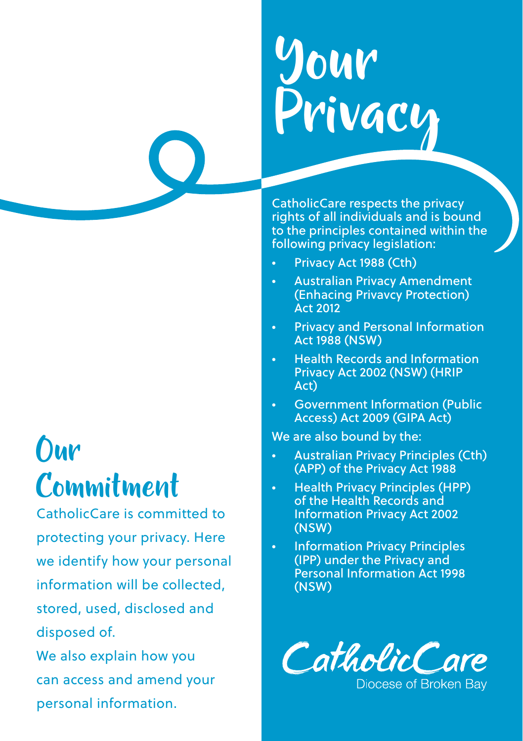# Your Privacy

CatholicCare respects the privacy rights of all individuals and is bound to the principles contained within the following privacy legislation:

- Privacy Act 1988 (Cth)
- Australian Privacy Amendment (Enhacing Privavcy Protection) Act 2012
- Privacy and Personal Information Act 1988 (NSW)
- Health Records and Information Privacy Act 2002 (NSW) (HRIP Act)
- Government Information (Public Access) Act 2009 (GIPA Act)

We are also bound by the:

- Australian Privacy Principles (Cth) (APP) of the Privacy Act 1988
- Health Privacy Principles (HPP) of the Health Records and Information Privacy Act 2002 (NSW)
- Information Privacy Principles (IPP) under the Privacy and Personal Information Act 1998 (NSW)



**Our** Commitment

CatholicCare is committed to protecting your privacy. Here we identify how your personal information will be collected, stored, used, disclosed and disposed of.

We also explain how you can access and amend your personal information.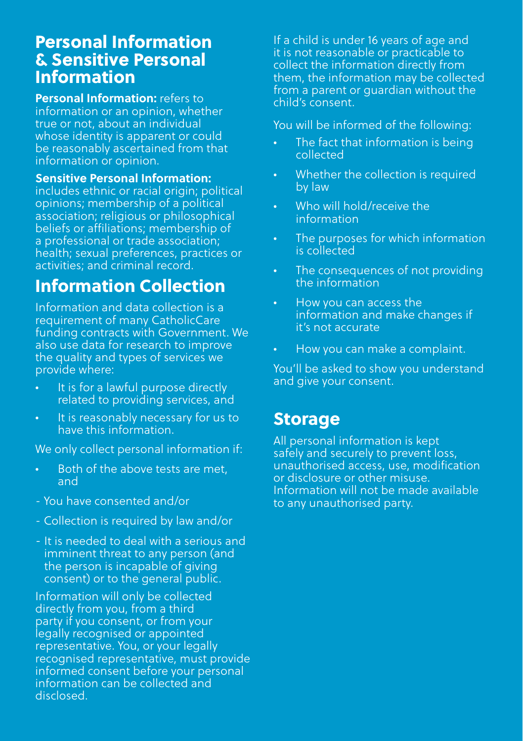#### Personal Information & Sensitive Personal Information

**Personal Information:** refers to information or an opinion, whether true or not, about an individual whose identity is apparent or could be reasonably ascertained from that information or opinion.

**Sensitive Personal Information:**  includes ethnic or racial origin; political opinions; membership of a political association; religious or philosophical beliefs or affiliations; membership of a professional or trade association; health; sexual preferences, practices or activities; and criminal record.

# Information Collection

Information and data collection is a requirement of many CatholicCare funding contracts with Government. We also use data for research to improve the quality and types of services we provide where:

- It is for a lawful purpose directly related to providing services, and
- It is reasonably necessary for us to have this information.

We only collect personal information if:

- Both of the above tests are met, and
- You have consented and/or
- Collection is required by law and/or
- It is needed to deal with a serious and imminent threat to any person (and the person is incapable of giving consent) or to the general public.

Information will only be collected directly from you, from a third party if you consent, or from your legally recognised or appointed representative. You, or your legally recognised representative, must provide informed consent before your personal information can be collected and disclosed.

If a child is under 16 years of age and it is not reasonable or practicable to collect the information directly from them, the information may be collected from a parent or guardian without the child's consent.

You will be informed of the following:

- The fact that information is being collected
- Whether the collection is required by law
- Who will hold/receive the information
- The purposes for which information is collected
- The consequences of not providing the information
- How you can access the information and make changes if it's not accurate
- How you can make a complaint.

You'll be asked to show you understand and give your consent.

## Storage

All personal information is kept safely and securely to prevent loss, unauthorised access, use, modification or disclosure or other misuse. Information will not be made available to any unauthorised party.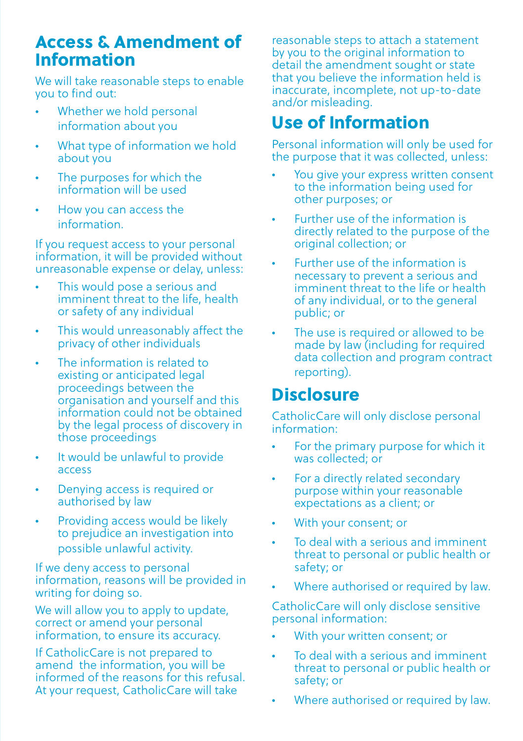#### Access & Amendment of Information

We will take reasonable steps to enable you to find out:

- Whether we hold personal information about you
- What type of information we hold about you
- The purposes for which the information will be used
- How you can access the information.

If you request access to your personal information, it will be provided without unreasonable expense or delay, unless:

- This would pose a serious and imminent threat to the life, health or safety of any individual
- This would unreasonably affect the privacy of other individuals
- The information is related to existing or anticipated legal proceedings between the organisation and yourself and this information could not be obtained by the legal process of discovery in those proceedings
- It would be unlawful to provide access
- Denying access is required or authorised by law
- Providing access would be likely to prejudice an investigation into possible unlawful activity.

If we deny access to personal information, reasons will be provided in writing for doing so.

We will allow you to apply to update. correct or amend your personal information, to ensure its accuracy.

If CatholicCare is not prepared to amend the information, you will be informed of the reasons for this refusal. At your request, CatholicCare will take

reasonable steps to attach a statement by you to the original information to detail the amendment sought or state that you believe the information held is inaccurate, incomplete, not up-to-date and/or misleading.

# Use of Information

Personal information will only be used for the purpose that it was collected, unless:

- You give your express written consent to the information being used for other purposes; or
- Further use of the information is directly related to the purpose of the original collection; or
- Further use of the information is necessary to prevent a serious and imminent threat to the life or health of any individual, or to the general public; or
- The use is required or allowed to be made by law (including for required data collection and program contract reporting).

## **Disclosure**

CatholicCare will only disclose personal information:

- For the primary purpose for which it was collected; or
- For a directly related secondary purpose within your reasonable expectations as a client; or
- With your consent; or
- To deal with a serious and imminent threat to personal or public health or safety; or
- Where authorised or required by law.

CatholicCare will only disclose sensitive personal information:

- With your written consent; or
- To deal with a serious and imminent threat to personal or public health or safety; or
- Where authorised or required by law.